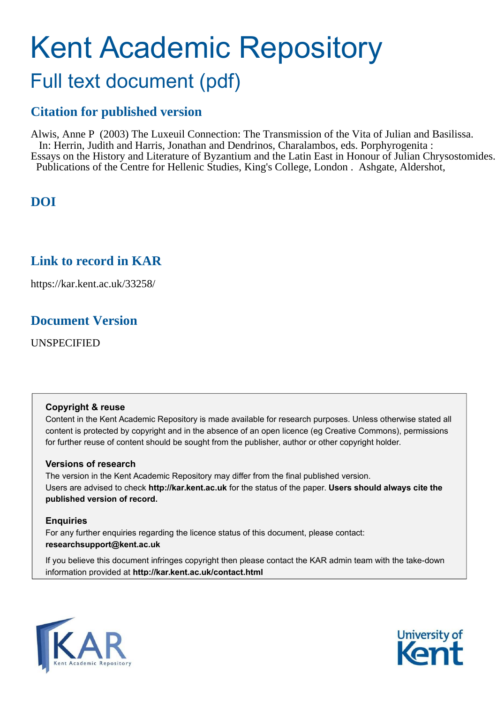## Kent Academic Repository Full text document (pdf)

## **Citation for published version**

Alwis, Anne P (2003) The Luxeuil Connection: The Transmission of the Vita of Julian and Basilissa. In: Herrin, Judith and Harris, Jonathan and Dendrinos, Charalambos, eds. Porphyrogenita : Essays on the History and Literature of Byzantium and the Latin East in Honour of Julian Chrysostomides. Publications of the Centre for Hellenic Studies, King's College, London . Ashgate, Aldershot,

## **DOI**

## **Link to record in KAR**

https://kar.kent.ac.uk/33258/

### **Document Version**

UNSPECIFIED

#### **Copyright & reuse**

Content in the Kent Academic Repository is made available for research purposes. Unless otherwise stated all content is protected by copyright and in the absence of an open licence (eg Creative Commons), permissions for further reuse of content should be sought from the publisher, author or other copyright holder.

#### **Versions of research**

The version in the Kent Academic Repository may differ from the final published version. Users are advised to check **http://kar.kent.ac.uk** for the status of the paper. **Users should always cite the published version of record.**

#### **Enquiries**

For any further enquiries regarding the licence status of this document, please contact: **researchsupport@kent.ac.uk**

If you believe this document infringes copyright then please contact the KAR admin team with the take-down information provided at **http://kar.kent.ac.uk/contact.html**



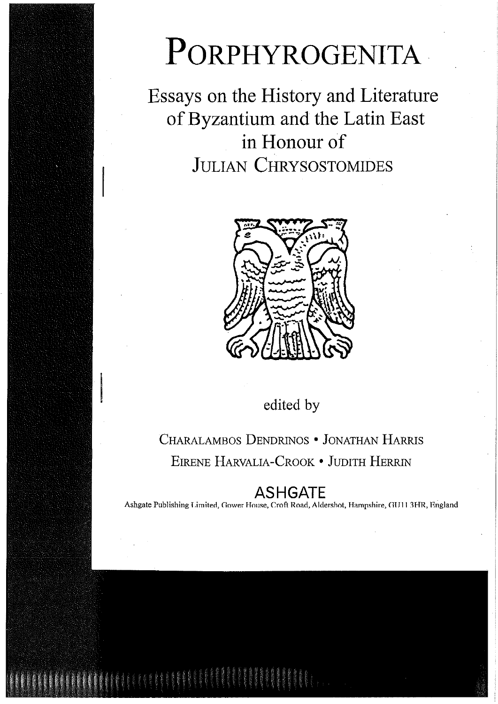# PORPHYROGENITA

Essays on the History and Literature of Byzantium and the Latin East in Honour of **JULIAN CHRYSOSTOMIDES** 



edited by

CHARALAMBOS DENDRINOS . JONATHAN HARRIS EIRENE HARVALIA-CROOK . JUDITH HERRIN

## ASHGATE

Ashgate Publishing Limited, Gower House, Croft Road, Aldershot, Hampshire, GU11 3HR, England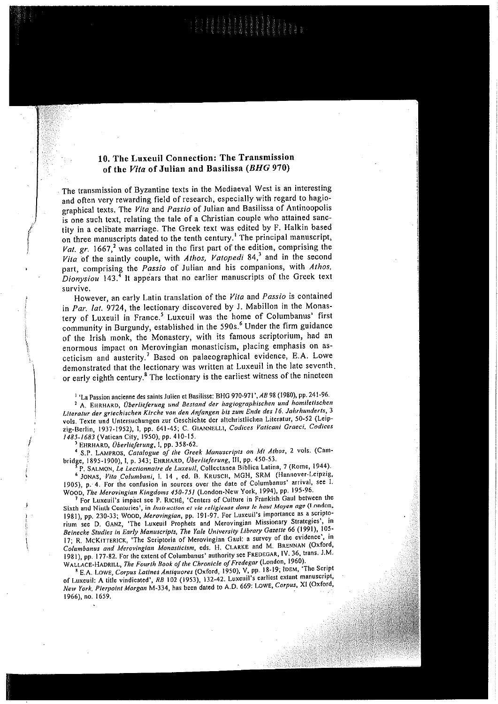#### 10. The Luxeuil Connection: The Transmission of the Vita of Julian and Basilissa (BHG 970)

The transmission of Byzantine texts in the Mediaeval West is an interesting and often very rewarding field of research, especially with regard to hagiographical texts. The Vita and Passio of Julian and Basilissa of Antinoopolis is one such text, relating the tale of a Christian couple who attained sanctity in a celibate marriage. The Greek text was edited by F. Halkin based on three manuscripts dated to the tenth century.<sup>1</sup> The principal manuscript, Vat. gr. 1667,<sup>2</sup> was collated in the first part of the edition, comprising the Vita of the saintly couple, with Athos, Vatopedi 84,3 and in the second part, comprising the Passio of Julian and his companions, with Athos, Dionysion 143.<sup>4</sup> It appears that no earlier manuscripts of the Greek text survive.

However, an early Latin translation of the Vita and Passio is contained in Par. lat. 9724, the lectionary discovered by J. Mabillon in the Monastery of Luxeuil in France.<sup>5</sup> Luxeuil was the home of Columbanus' first community in Burgundy, established in the 590s.<sup>6</sup> Under the firm guidance of the Irish monk, the Monastery, with its famous scriptorium, had an enormous impact on Merovingian monasticism, placing emphasis on asceticism and austerity.<sup>7</sup> Based on palaeographical evidence, E.A. Lowe demonstrated that the lectionary was written at Luxeuil in the late seventh. or early eighth century.<sup>8</sup> The lectionary is the earliest witness of the nineteen

<sup>1</sup> 'La Passion ancienne des saints Julien et Basilisse: BHG 970-971', AB 98 (1980), pp. 241-96. <sup>2</sup> A. EHRHARD, Überlieferung und Bestand der hagiographischen und homiletischen Literatur der griechischen Kirche von den Anfangen bis zum Ende des 16. Jahrhunderts, 3 vols. Texte und Untersuchungen zur Geschichte der altchristlichen Literatur, 50-52 (Leipzig-Berlin, 1937-1952), I, pp. 641-45; C. GIANNELLI, Codices Vaticani Graeci, Codices 1485-1683 (Vatican City, 1950), pp. 410-15.

EHRHARD, Überlieferung, I, pp. 358-62.

<sup>4</sup> S.P. LAMPROS, Catalogue of the Greek Manuscripts on Mt Athos, 2 vols. (Cambridge, 1895-1900), I, p. 343; EHRHARD, Überlieferung, III, pp. 450-53.

P. SALMON, Le Lectionnaire de Luxeuil, Collectanea Biblica Latina, 7 (Rome, 1944). <sup>6</sup> JONAS, Vita Columbani, 1, 14, ed. B. KRUSCH, MGH, SRM (Hannover-Leipzig, 1905), p. 4. For the confusion in sources over the date of Columbanus' arrival, see 1. WOOD, The Merovingian Kingdoms 450-751 (London-New York, 1994), pp. 195-96.

<sup>7</sup> For Luxeuil's impact see P. RICHE, 'Centers of Culture in Frankish Gaul between the Sixth and Ninth Centuries', in Instruction et vie religieuse dans le haut Moyen age (London, 1981), pp. 230-33; WOOD, Merovingian, pp. 191-97. For Luxeuil's importance as a scriptorium see D. GANZ, 'The Luxeuil Prophets and Merovingian Missionary Strategies', in Beinecke Studies in Early Manuscripts, The Yale University Library Gazette 66 (1991), 105-17; R. MCKITTERICK, 'The Scriptoria of Merovingian Gaul: a survey of the evidence', in Columbanus and Merovingian Monasticism, eds. H. CLARKE and M. BRENNAN (Oxford, 1981), pp. 177-82. For the extent of Columbanus' authority see FREDEGAR, IV. 36, trans. J.M. WALLACE-HADRILL, The Fourth Book of the Chronicle of Fredegar (London, 1960).

<sup>8</sup> E.A. LOWE, Corpus Latines Antiquores (Oxford, 1950), V, pp. 18-19; IDEM, 'The Script of Luxeuil: A title vindicated', RB 102 (1953), 132-42. Luxeuil's earliest extant manuscript, New York, Pierpoint Morgan M-334, has been dated to A.D. 669: LOWE, Corpus, XI (Oxford, 1966), no. 1659.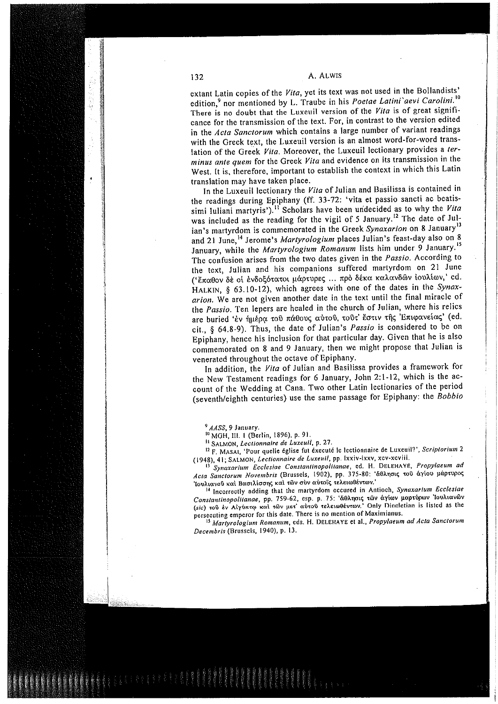extant Latin copies of the Vita, yet its text was not used in the Bollandists' edition,<sup>9</sup> nor mentioned by L. Traube in his Poetae Latini'aevi Carolini.<sup>10</sup> There is no doubt that the Luxeuil version of the Vita is of great significance for the transmission of the text. For, in contrast to the version edited in the Acta Sanctorum which contains a large number of variant readings with the Greek text, the Luxeuil version is an almost word-for-word translation of the Greek Vita. Moreover, the Luxeuil lectionary provides a terminus ante quem for the Greek Vita and evidence on its transmission in the West. It is, therefore, important to establish the context in which this Latin translation may have taken place.

In the Luxeuil lectionary the Vita of Julian and Basilissa is contained in the readings during Epiphany (ff. 33-72: 'vita et passio sancti ac beatissimi Iuliani martyris').<sup>11</sup> Scholars have been undecided as to why the Vita was included as the reading for the vigil of 5 January.<sup>12</sup> The date of Julian's martyrdom is commemorated in the Greek Synaxarion on 8 January<sup>13</sup> and 21 June,<sup>14</sup> Jerome's Martyrologium places Julian's feast-day also on 8 January, while the Martyrologium Romanum lists him under 9 January.<sup>15</sup> The confusion arises from the two dates given in the Passio. According to the text, Julian and his companions suffered martyrdom on 21 June ('έπαθον δε οί ενδοξότατοι μάρτυρες ... πρό δέκα καλανδών ιουλίων,' ed. HALKIN, § 63.10-12), which agrees with one of the dates in the Synaxarion. We are not given another date in the text until the final miracle of the Passio. Ten lepers are healed in the church of Julian, where his relics are buried 'έν ήμέρα του πάθους αύτου, τουτ' έστιν της Επιφανείας' (ed. cit., § 64.8-9). Thus, the date of Julian's Passio is considered to be on Epiphany, hence his inclusion for that particular day. Given that he is also commemorated on 8 and 9 January, then we might propose that Julian is venerated throughout the octave of Epiphany.

In addition, the Vita of Julian and Basilissa provides a framework for the New Testament readings for 6 January, John 2:1-12, which is the account of the Wedding at Cana. Two other Latin lectionaries of the period (seventh/eighth centuries) use the same passage for Epiphany: the Bobbio

<sup>9</sup> AASS, 9 January.

<sup>10</sup> MGH, III. 1 (Berlin, 1896), p. 91.

<sup>11</sup> SALMON, Lectionnaire de Luxeuil, p. 27.

<sup>12</sup> F. MASAI, 'Pour quelle église fut éxecuté le lectionnaire de Luxeuil?', Scriptorium 2 (1948), 41; SALMON, Lectionnaire de Luxeuil, pp. Ixxiv-Ixxv, xcv-xcviii.

Synaxarium Ecclesiae Constantinopolitanae, ed. H. DELEHAYE, Propylaeum ad Acta Sanctorum Novembris (Brussels, 1902), pp. 375-80: 'άθλησις του άγίου μάρτυρος Ίουλιανού και Βασιλίσσης και των συν αυτοίς τελειωθέντων.'

<sup>14</sup> Incorrectly adding that the martyrdom occured in Antioch, Synaxarium Ecclesiae Constantinopolitanae, pp. 759-62, esp. p. 75: 'ἄθλησις των άγίων μαρτύρων 'Ιουλιανών (sic) του έν Αίγύπτω και των μετ' αύτου τελειωθέντων.' Only Diocletian is listed as the persecuting emperor for this date. There is no mention of Maximianus.

<sup>15</sup> Martyrologium Romanum, eds. H. DELEHAYE et al., Propylaeum ad Acta Sanctorum Decembris (Brussels, 1940), p. 13.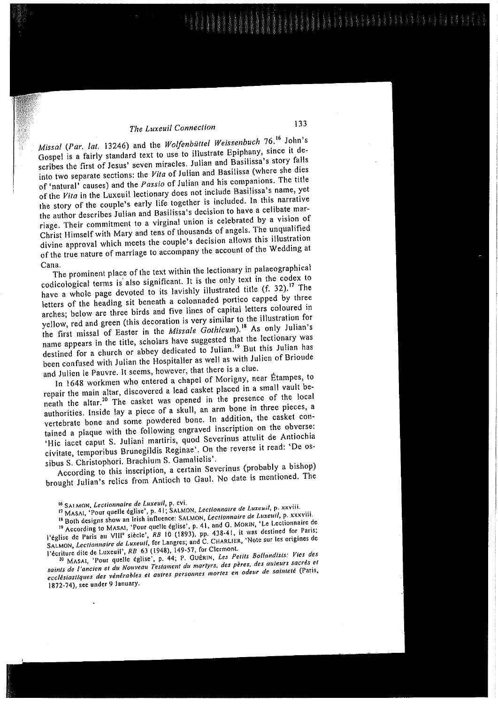#### The Luxeuil Connection

Missal (Par. lat. 13246) and the Wolfenbüttel Weissenbuch 76.<sup>16</sup> John's Gospel is a fairly standard text to use to illustrate Epiphany, since it describes the first of Jesus' seven miracles. Julian and Basilissa's story falls into two separate sections: the Vita of Julian and Basilissa (where she dies of 'natural' causes) and the Passio of Julian and his companions. The title of the Vita in the Luxeuil lectionary does not include Basilissa's name, yet the story of the couple's early life together is included. In this narrative the author describes Julian and Basilissa's decision to have a celibate marriage. Their commitment to a virginal union is celebrated by a vision of Christ Himself with Mary and tens of thousands of angels. The unqualified divine approval which meets the couple's decision allows this illustration of the true nature of marriage to accompany the account of the Wedding at Cana.

The prominent place of the text within the lectionary in palaeographical codicological terms is also significant. It is the only text in the codex to have a whole page devoted to its lavishly illustrated title (f. 32).<sup>17</sup> The letters of the heading sit beneath a colonnaded portico capped by three arches; below are three birds and five lines of capital letters coloured in yellow, red and green (this decoration is very similar to the illustration for the first missal of Easter in the Missale Gothicum).<sup>18</sup> As only Julian's name appears in the title, scholars have suggested that the lectionary was destined for a church or abbey dedicated to Julian.<sup>19</sup> But this Julian has been confused with Julian the Hospitaller as well as with Julien of Brioude and Julien le Pauvre. It seems, however, that there is a clue.

In 1648 workmen who entered a chapel of Morigny, near Étampes, to repair the main altar, discovered a lead casket placed in a small vault beneath the altar.<sup>20</sup> The casket was opened in the presence of the local authorities. Inside lay a piece of a skull, an arm bone in three pieces, a vertebrate bone and some powdered bone. In addition, the casket contained a plaque with the following engraved inscription on the obverse: 'Hic iacet caput S. Juliani martiris, quod Severinus attulit de Antiochia civitate, temporibus Brunegildis Reginae'. On the reverse it read: 'De ossibus S. Christophori. Brachium S. Gamalielis'.

According to this inscription, a certain Severinus (probably a bishop) brought Julian's relics from Antioch to Gaul. No date is mentioned. The

<sup>19</sup> According to MASAI, 'Pour quelle église', p. 41, and G. MORIN, 'Le Lectionnaire de Péglise de Paris au VIII<sup>e</sup> siècle', RB 10 (1893), pp. 438-41, it was destined for Paris;<br>SALMON, Lectionnaire de Luxeuil, for Langres; and C. CHARLIER, 'Note sur les origines de Pécriture dite de Luxeuil', RB 63 (1948), 149-57, for Clermont.

<sup>20</sup> MASAI, 'Pour quelle église', p. 44; P. GUÉRIN, Les Petits Bollandists: Vies des saints de l'ancien et du Nouveau Testament du martyrs, des pères, des auteurs sacrés et ecclésiastiques des vénérables et autres personnes mortes en odeur de sainteté (Paris, 1872-74), see under 9 January.

<sup>&</sup>lt;sup>16</sup> SALMON, Lectionnaire de Luxeuil, p. cvi.

<sup>&</sup>lt;sup>17</sup> MASAI, 'Pour quelle église', p. 41; SALMON, Lectionnaire de Luxeuil, p. xxviii.

<sup>&</sup>lt;sup>18</sup> Both designs show an Irish influence: SALMON, *Lectionnaire de Luxeuil*, p. xxxviii.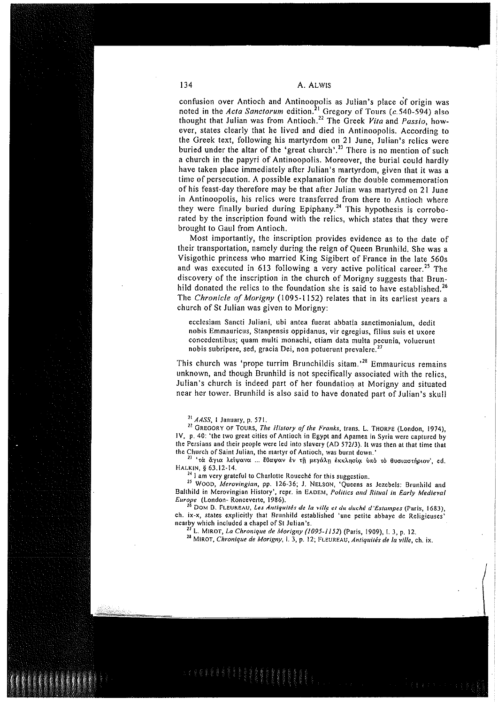confusion over Antioch and Antinoopolis as Julian's place of origin was noted in the *Acta Sanctorum* edition.<sup>21</sup> Gregory of Tours (c.540-594) also thought that Julian was from Antioch.<sup>22</sup> The Greek *Vita* and *Passio*, ever, states clearly that he lived and died in Antinoopolis. According to the Greek text, following his martyrdom on 21 June, Julian's relics were buried under the altar of the 'great church'.<sup>23</sup> There is no mention of such a church in the papyri of Antinoopolis. Moreover, the burial could hardly have taken place immediately after Julian's martyrdom, given that it was a time of persecution. A possible explanation for the double commemoration of his feast-day therefore may be that after Julian was martyred on 21 June in Antinoopolis, his relics were transferred from there to Antioch where they were finally buried during Epiphany.<sup>24</sup> This hypothesis is corroborated by the inscription found with the relics, which states that they were brought to Gaul from Antioch.

Most importantly, the inscription provides evidence as to the date of their transportation, namely during the reign of Queen Brunhild. She was a Visigothic princess who married King Sigibert of France in the late 560s and was executed in 613 following a very active political career.<sup>25</sup> The discovery of the inscription in the church of Morigny suggests that Brunhild donated the relics to the foundation she is said to have established.<sup>26</sup> The Chronicle of Morigny (1095-1152) relates that in its earliest vears a church of St Julian was given to Morigny:

ecclesiam Sancti Juliani, ubi antea fuerat abbatia sanctimonialum, dedit nobis Emmauricus, Stanpensis oppidanus, vir egregius, filius suis et uxore concedentibus; quam multi monachi, etiam data multa pecunia, voluerunt nobis subripere, sed, gracia Dei, non potuerunt prevalere.<sup>27</sup>

This church was 'prope turrim Brunchildis sitam.<sup>28</sup> Emmauricus remains unknown, and though Brunhild is not specifically associated with the relics, Julian's church is indeed part of her foundation at Morigny and situated near her tower. Brunhild is also said to have donated part of Julian's skull

<sup>21</sup> AASS, 1 January, p. 571.

<sup>22</sup> GREGORY OF TOURS, The History of the Franks, trans. L. THORPE (London, 1974), IV, p. 40: 'the two great cities of Antioch in Egypt and Apamea in Syria were captured by the Persians and their people were led into slavery (AD 572/3). It was then at that time that the Church of Saint Julian, the martyr of Antioch, was burnt down.'

'τά άγια λείψανα ... έθαψαν έν τη μεγάλη έκκλησία ύπό τό θυσιαστήριον', ed. HALKIN, § 63.12-14.

<sup>24</sup> I am very grateful to Charlotte Roueché for this suggestion.

<sup>25</sup> WOOD, Merovingian, pp. 126-36; J. NELSON, 'Queens as Jezebels: Brunhild and Balthild in Merovingian History', repr. in EADEM, Politics and Ritual in Early Medieval Europe (London-Ronceverte, 1986).

DOM B. FLEUREAU, Les Antiquités de la ville et du duché d'Estampes (Paris, 1683), ch. ix-x, states explicitly that Brunhild established 'une petite abbaye de Religieuses' nearby which included a chapel of St Julian's.

L. MIROT, La Chronique de Morigny (1095-1152) (Paris, 1909), I. 3, p. 12.

<sup>28</sup> MIROT, Chronique de Morigny, I. 3, p. 12; FLEUREAU, Antiquités de la ville, ch. ix.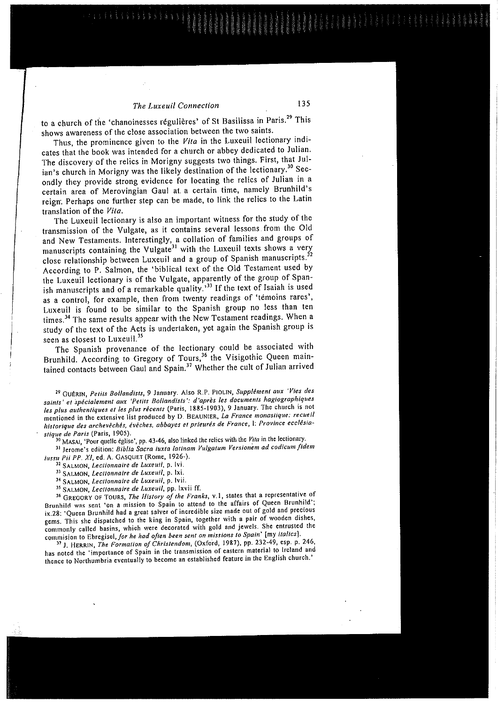#### The Luxeuil Connection

to a church of the 'chanoinesses régulières' of St Basilissa in Paris.<sup>29</sup> This shows awareness of the close association between the two saints.

Thus, the prominence given to the Vita in the Luxeuil lectionary indicates that the book was intended for a church or abbey dedicated to Julian. The discovery of the relics in Morigny suggests two things. First, that Julian's church in Morigny was the likely destination of the lectionary.<sup>30</sup> Secondly they provide strong evidence for locating the relics of Julian in a certain area of Merovingian Gaul at a certain time, namely Brunhild's reign. Perhaps one further step can be made, to link the relics to the Latin translation of the Vita.

The Luxeuil lectionary is also an important witness for the study of the transmission of the Vulgate, as it contains several lessons from the Old and New Testaments. Interestingly, a collation of families and groups of manuscripts containing the Vulgate<sup>31</sup> with the Luxeuil texts shows a very close relationship between Luxeuil and a group of Spanish manuscripts.<sup>32</sup> According to P. Salmon, the 'biblical text of the Old Testament used by the Luxeuil lectionary is of the Vulgate, apparently of the group of Spanish manuscripts and of a remarkable quality.<sup>33</sup> If the text of Isaiah is used as a control, for example, then from twenty readings of 'temoins rares', Luxeuil is found to be similar to the Spanish group no less than ten times.<sup>34</sup> The same results appear with the New Testament readings. When a study of the text of the Acts is undertaken, yet again the Spanish group is seen as closest to Luxeuil.<sup>35</sup>

The Spanish provenance of the lectionary could be associated with Brunhild. According to Gregory of Tours,<sup>36</sup> the Visigothic Queen maintained contacts between Gaul and Spain.<sup>37</sup> Whether the cult of Julian arrived

<sup>29</sup> GUÉRIN, Petits Bollandists, 9 January. Also R.P. PIOLIN, Supplément aux 'Vies des saints' et spécialement aux 'Petits Bollandists': d'après les documents hagiographiques les plus authentiques et les plus récents (Paris, 1885-1903), 9 January. The church is not mentioned in the extensive list produced by D. BEAUNIER, La France monastique: recueil historique des archevêchés, évêches, abbayes et prieurés de France, l: Province ecclésiastique de Paris (Paris, 1905).

MASAI, 'Pour quelle église', pp. 43-46, also linked the relics with the Vita in the lectionary.

31 Jerome's edition: Biblia Sacra iuxta latinam Vulgatum Versionem ad codicum fidem iussu Pii PP. XI, ed. A. GASQUET (Rome, 1926-).

SALMON, Lectionnaire de Luxeuil, p. Ivi.

33 SALMON, Lectionnaire de Luxeuil, p. lxi.

<sup>34</sup> SALMON, Lectionnaire de Luxeuil, p. Ivii.

<sup>35</sup> SALMON, Lectionnaire de Luxeuil, pp. lxvii ff.

<sup>36</sup> GREGORY OF TOURS, The History of the Franks, v.1, states that a representative of Brunhild was sent 'on a mission to Spain to attend to the affairs of Queen Brunhild'; ix.28: 'Queen Brunhild had a great salver of incredible size made out of gold and precious gems. This she dispatched to the king in Spain, together with a pair of wooden dishes, commonly called basins, which were decorated with gold and jewels. She entrusted the commision to Ebregisel, for he had often been sent on missions to Spain' [my italics].

<sup>37</sup> J. HERRIN, The Formation of Christendom, (Oxford, 1987), pp. 232-49, esp. p. 246, has noted the 'importance of Spain in the transmission of eastern material to Ireland and thence to Northumbria eventually to become an established feature in the English church.'